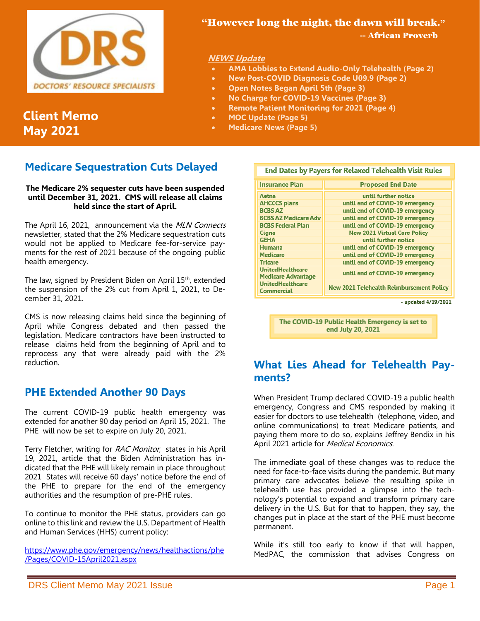

# **Client Memo May 2021**

# **Medicare Sequestration Cuts Delayed**

#### **The Medicare 2% sequester cuts have been suspended until December 31, 2021. CMS will release all claims held since the start of April.**

The April 16, 2021, announcement via the MLN Connects newsletter, stated that the 2% Medicare sequestration cuts would not be applied to Medicare fee-for-service payments for the rest of 2021 because of the ongoing public health emergency.

The law, signed by President Biden on April 15<sup>th</sup>, extended the suspension of the 2% cut from April 1, 2021, to December 31, 2021.

CMS is now releasing claims held since the beginning of April while Congress debated and then passed the legislation. Medicare contractors have been instructed to release claims held from the beginning of April and to reprocess any that were already paid with the 2% reduction.

### **PHE Extended Another 90 Days**

The current COVID-19 public health emergency was extended for another 90 day period on April 15, 2021. The PHE will now be set to expire on July 20, 2021.

Terry Fletcher, writing for RAC Monitor, states in his April 19, 2021, article that the Biden Administration has indicated that the PHE will likely remain in place throughout 2021 States will receive 60 days' notice before the end of the PHE to prepare for the end of the emergency authorities and the resumption of pre-PHE rules.

To continue to monitor the PHE status, providers can go online to this link and review the U.S. Department of Health and Human Services (HHS) current policy:

[https://www.phe.gov/emergency/news/healthactions/phe](https://www.phe.gov/emergency/news/healthactions/phe/Pages/COVID-15April2021.aspx) [/Pages/COVID-15April2021.aspx](https://www.phe.gov/emergency/news/healthactions/phe/Pages/COVID-15April2021.aspx)

## "However long the night, the dawn will break."

-- African Proverb

### **NEWS Update**

- **AMA Lobbies to Extend Audio-Only Telehealth (Page 2)**
- **New Post-COVID Diagnosis Code U09.9 (Page 2)**
- **Open Notes Began April 5th (Page 3)**
- **No Charge for COVID-19 Vaccines (Page 3)**
- **Remote Patient Monitoring for 2021 (Page 4)**
- **MOC Update (Page 5)**
- **Medicare News (Page 5)**

| End Dates by Payers for Relaxed Telehealth Visit Rules |                                                 |
|--------------------------------------------------------|-------------------------------------------------|
| <b>Insurance Plan</b>                                  | <b>Proposed End Date</b>                        |
| Aetna                                                  | until further notice                            |
| <b>AHCCCS plans</b>                                    | until end of COVID-19 emergency                 |
| <b>BCBS AZ</b>                                         | until end of COVID-19 emergency                 |
| <b>BCBS AZ Medicare Adv</b>                            | until end of COVID-19 emergency                 |
| <b>BCBS Federal Plan</b>                               | until end of COVID-19 emergency                 |
| Cigna                                                  | <b>New 2021 Virtual Care Policy</b>             |
| <b>GEHA</b>                                            | until further notice                            |
| <b>Humana</b>                                          | until end of COVID-19 emergency                 |
| <b>Medicare</b>                                        | until end of COVID-19 emergency                 |
| <b>Tricare</b>                                         | until end of COVID-19 emergency                 |
| <b>UnitedHealthcare</b><br><b>Medicare Advantage</b>   | until end of COVID-19 emergency                 |
| <b>UnitedHealthcare</b><br>Commercial                  | <b>New 2021 Telehealth Reimbursement Policy</b> |

- updated 4/19/2021

The COVID-19 Public Health Emergency is set to end July 20, 2021

# **What Lies Ahead for Telehealth Payments?**

When President Trump declared COVID-19 a public health emergency, Congress and CMS responded by making it easier for doctors to use telehealth (telephone, video, and online communications) to treat Medicare patients, and paying them more to do so, explains Jeffrey Bendix in his April 2021 article for Medical Economics.

The immediate goal of these changes was to reduce the need for face-to-face visits during the pandemic. But many primary care advocates believe the resulting spike in telehealth use has provided a glimpse into the technology's potential to expand and transform primary care delivery in the U.S. But for that to happen, they say, the changes put in place at the start of the PHE must become permanent.

While it's still too early to know if that will happen, MedPAC, the commission that advises Congress on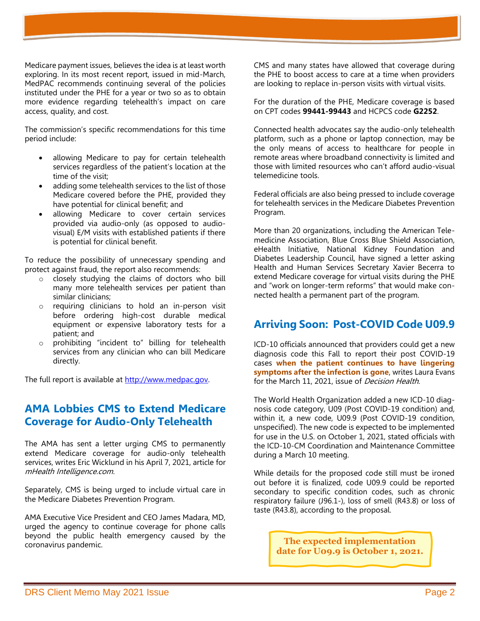Medicare payment issues, believes the idea is at least worth exploring. In its most recent report, issued in mid-March, MedPAC recommends continuing several of the policies instituted under the PHE for a year or two so as to obtain more evidence regarding telehealth's impact on care access, quality, and cost.

The commission's specific recommendations for this time period include:

- allowing Medicare to pay for certain telehealth services regardless of the patient's location at the time of the visit;
- adding some telehealth services to the list of those Medicare covered before the PHE, provided they have potential for clinical benefit; and
- allowing Medicare to cover certain services provided via audio-only (as opposed to audiovisual) E/M visits with established patients if there is potential for clinical benefit.

To reduce the possibility of unnecessary spending and protect against fraud, the report also recommends:

- o closely studying the claims of doctors who bill many more telehealth services per patient than similar clinicians;
- o requiring clinicians to hold an in-person visit before ordering high-cost durable medical equipment or expensive laboratory tests for a patient; and
- prohibiting "incident to" billing for telehealth services from any clinician who can bill Medicare directly.

The full report is available at [http://www.medpac.gov.](http://www.medpac.gov/)

## **AMA Lobbies CMS to Extend Medicare Coverage for Audio-Only Telehealth**

The AMA has sent a letter urging CMS to permanently extend Medicare coverage for audio-only telehealth services, writes Eric Wicklund in his April 7, 2021, article for mHealth Intelligence.com.

Separately, CMS is being urged to include virtual care in the Medicare Diabetes Prevention Program.

AMA Executive Vice President and CEO James Madara, MD, urged the agency to continue coverage for phone calls beyond the public health emergency caused by the coronavirus pandemic.

CMS and many states have allowed that coverage during the PHE to boost access to care at a time when providers are looking to replace in-person visits with virtual visits.

For the duration of the PHE, Medicare coverage is based on CPT codes **99441-99443** and HCPCS code **G2252**.

Connected health advocates say the audio-only telehealth platform, such as a phone or laptop connection, may be the only means of access to healthcare for people in remote areas where broadband connectivity is limited and those with limited resources who can't afford audio-visual telemedicine tools.

Federal officials are also being pressed to include coverage for telehealth services in the Medicare Diabetes Prevention Program.

More than 20 organizations, including the American Telemedicine Association, Blue Cross Blue Shield Association, eHealth Initiative, National Kidney Foundation and Diabetes Leadership Council, have signed a letter asking Health and Human Services Secretary Xavier Becerra to extend Medicare coverage for virtual visits during the PHE and "work on longer-term reforms" that would make connected health a permanent part of the program.

# **Arriving Soon: Post-COVID Code U09.9**

ICD-10 officials announced that providers could get a new diagnosis code this Fall to report their post COVID-19 cases **when the patient continues to have lingering symptoms after the infection is gone**, writes Laura Evans for the March 11, 2021, issue of *Decision Health*.

The World Health Organization added a new ICD-10 diagnosis code category, U09 (Post COVID-19 condition) and, within it, a new code, U09.9 (Post COVID-19 condition, unspecified). The new code is expected to be implemented for use in the U.S. on October 1, 2021, stated officials with the ICD-10-CM Coordination and Maintenance Committee during a March 10 meeting.

While details for the proposed code still must be ironed out before it is finalized, code U09.9 could be reported secondary to specific condition codes, such as chronic respiratory failure (J96.1-), loss of smell (R43.8) or loss of taste (R43.8), according to the proposal.

> **The expected implementation date for U09.9 is October 1, 2021.**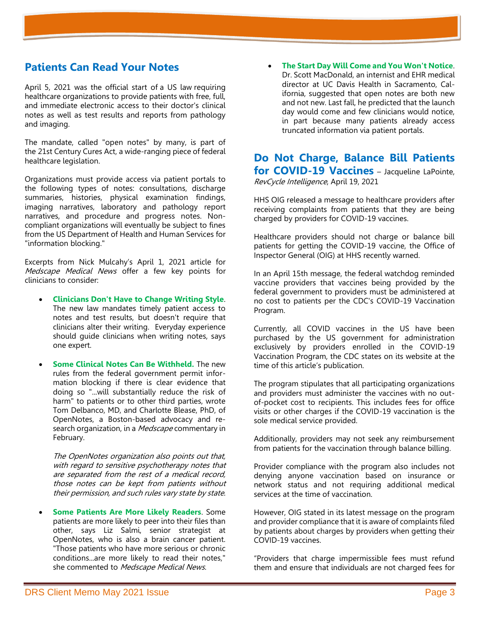### **Patients Can Read Your Notes**

April 5, 2021 was the official start of [a US law](https://www.opennotes.org/onc-federal-rule-interoperabilty-information-blocking-and-open-notes/) requiring healthcare organizations to provide patients with free, full, and immediate electronic access to their doctor's clinical notes as well as test results and reports from pathology and imaging.

The mandate, called "open notes" by many, is part of the [21st Century Cures Act,](https://www.healthit.gov/curesrule/) a wide-ranging piece of federal healthcare legislation.

Organizations must provide access via patient portals to the following types of notes: consultations, discharge summaries, histories, physical examination findings, imaging narratives, laboratory and pathology report narratives, and procedure and progress notes. Noncompliant organizations will eventually be subject to fines from the US Department of Health and Human Services for "information blocking."

Excerpts from Nick Mulcahy's April 1, 2021 article for Medscape Medical News offer a few key points for clinicians to consider:

- **Clinicians Don't Have to Change Writing Style**. The new law mandates timely patient access to notes and test results, but doesn't require that clinicians alter their writing. Everyday experience should guide clinicians when writing notes, says one expert.
- **Some Clinical Notes Can Be Withheld.** The new rules from the federal government permit information blocking if there is clear evidence that doing so "...will substantially reduce the risk of harm" to patients or to other third parties, wrote Tom Delbanco, MD, and Charlotte Blease, PhD, of OpenNotes, a Boston-based advocacy and research organization, in a *Medscape* commentary in February.

The OpenNotes organization also points out that, with regard to sensitive psychotherapy notes that are separated from the rest of a medical record, those notes can be kept from patients without their permission, and such rules vary state by state.

• **Some Patients Are More Likely Readers**. Some patients are more likely to peer into their files than other, says Liz Salmi, senior strategist at OpenNotes, who is also a brain cancer patient. "Those patients who have more serious or chronic conditions...are more likely to read their notes," she commented to Medscape Medical News.

• **The Start Day Will Come and You Won't Notice**. Dr. Scott MacDonald, an internist and EHR medical director at UC Davis Health in Sacramento, California, suggested that open notes are both new and not new. Last fall, he predicted that the launch day would come and few clinicians would notice, in part because many patients already access truncated information via patient portals.

**Do Not Charge, Balance Bill Patients for COVID-19 Vaccines** – Jacqueline LaPointe, RevCycle Intelligence, April 19, 2021

HHS OIG released a message to healthcare providers after receiving complaints from patients that they are being charged by providers for COVID-19 vaccines.

Healthcare providers should not charge or balance bill patients for getting the COVID-19 vaccine, the Office of Inspector General (OIG) at HHS recently warned.

In an April 15th message, the federal watchdog reminded vaccine providers that vaccines being provided by the federal government to providers must be administered at no cost to patients per the CDC's COVID-19 Vaccination Program.

Currently, all COVID vaccines in the US have been purchased by the US government for administration exclusively by providers enrolled in the COVID-19 Vaccination Program, the CDC states on its website at the time of this article's publication.

The program stipulates that all participating organizations and providers must administer the vaccines with no outof-pocket cost to recipients. This includes fees for office visits or other charges if the COVID-19 vaccination is the sole medical service provided.

Additionally, providers may not seek any reimbursement from patients for the vaccination through balance billing.

Provider compliance with the program also includes not denying anyone vaccination based on insurance or network status and not requiring additional medical services at the time of vaccination.

However, OIG stated in its latest message on the program and provider compliance that it is aware of complaints filed by patients about charges by providers when getting their COVID-19 vaccines.

"Providers that charge impermissible fees must refund them and ensure that individuals are not charged fees for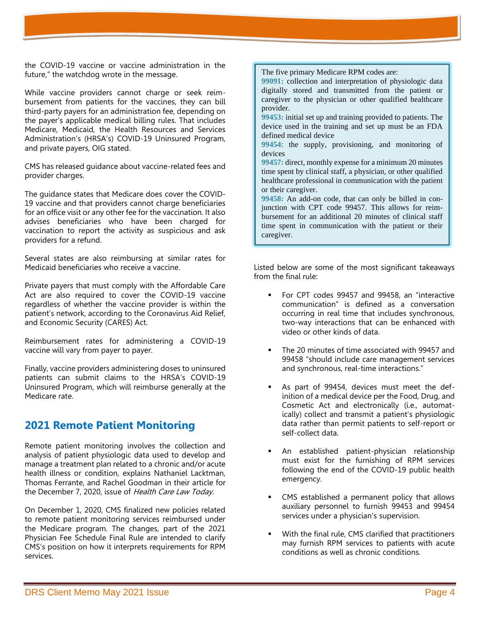the COVID-19 vaccine or vaccine administration in the future," the watchdog wrote in the message.

While vaccine providers cannot charge or seek reimbursement from patients for the vaccines, they can bill third-party payers for an administration fee, depending on the payer's applicable medical billing rules. That includes Medicare, Medicaid, the Health Resources and Services Administration's (HRSA's) COVID-19 Uninsured Program, and private payers, OIG stated.

CMS has released guidance about vaccine-related fees and provider charges.

The guidance states that Medicare does cover the COVID-19 vaccine and that providers cannot charge beneficiaries for an office visit or any other fee for the vaccination. It also advises beneficiaries who have been charged for vaccination to report the activity as suspicious and ask providers for a refund.

Several states are also reimbursing at similar rates for Medicaid beneficiaries who receive a vaccine.

Private payers that must comply with the Affordable Care Act are also required to cover the COVID-19 vaccine regardless of whether the vaccine provider is within the patient's network, according to the Coronavirus Aid Relief, and Economic Security (CARES) Act.

Reimbursement rates for administering a COVID-19 vaccine will vary from payer to payer.

Finally, vaccine providers administering doses to uninsured patients can submit claims to the HRSA's COVID-19 Uninsured Program, which will reimburse generally at the Medicare rate.

### **2021 Remote Patient Monitoring**

Remote patient monitoring involves the collection and analysis of patient physiologic data used to develop and manage a treatment plan related to a chronic and/or acute health illness or condition, explains Nathaniel Lacktman, Thomas Ferrante, and Rachel Goodman in their article for the December 7, 2020, issue of Health Care Law Today.

On December 1, 2020, CMS finalized new policies related to remote patient monitoring services reimbursed under the Medicare program. The changes, part of the 2021 Physician Fee Schedule Final Rule are intended to clarify CMS's position on how it interprets requirements for RPM services.

The five primary Medicare RPM codes are:

**99091:** collection and interpretation of physiologic data digitally stored and transmitted from the patient or caregiver to the physician or other qualified healthcare provider.

**99453:** initial set up and training provided to patients. The device used in the training and set up must be an FDA defined medical device

**99454**: the supply, provisioning, and monitoring of devices

**99457:** direct, monthly expense for a minimum 20 minutes time spent by clinical staff, a physician, or other qualified healthcare professional in communication with the patient or their caregiver.

**99458:** An add-on code, that can only be billed in conjunction with CPT code 99457. This allows for reimbursement for an additional 20 minutes of clinical staff time spent in communication with the patient or their caregiver.

Listed below are some of the most significant takeaways from the final rule:

- For CPT codes 99457 and 99458, an "interactive communication" is defined as a conversation occurring in real time that includes synchronous, two-way interactions that can be enhanced with video or other kinds of data.
- The 20 minutes of time associated with 99457 and 99458 "should include care management services and synchronous, real-time interactions."
- As part of 99454, devices must meet the definition of a medical device per the Food, Drug, and Cosmetic Act and electronically (i.e., automatically) collect and transmit a patient's physiologic data rather than permit patients to self-report or self-collect data.
- An established patient-physician relationship must exist for the furnishing of RPM services following the end of the COVID-19 public health emergency.
- CMS established a permanent policy that allows auxiliary personnel to furnish 99453 and 99454 services under a physician's supervision.
- With the final rule, CMS clarified that practitioners may furnish RPM services to patients with acute conditions as well as chronic conditions.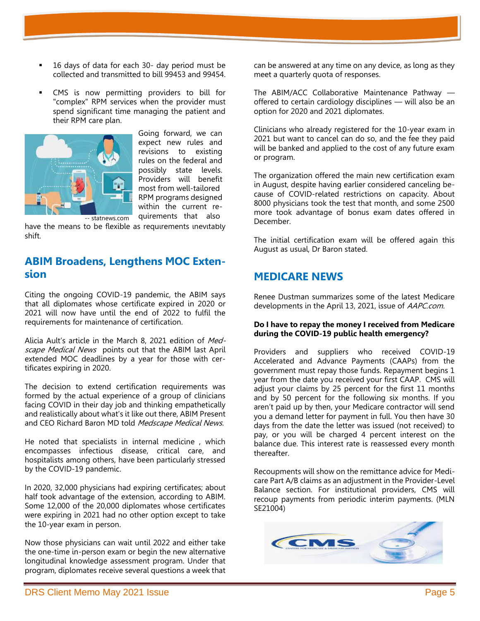- 16 days of data for each 30- day period must be collected and transmitted to bill 99453 and 99454.
- CMS is now permitting providers to bill for "complex" RPM services when the provider must spend significant time managing the patient and their RPM care plan.



Going forward, we can expect new rules and revisions to existing rules on the federal and possibly state levels. Providers will benefit most from well-tailored RPM programs designed within the current requirements that also

have the means to be flexible as requirements inevitably shift.

### **ABIM Broadens, Lengthens MOC Extension**

Citing the ongoing COVID-19 pandemic, the ABIM says that all diplomates whose certificate expired in 2020 or 2021 will now have until the end of 2022 to fulfil the requirements for maintenance of certification.

Alicia Ault's article in the March 8, 2021 edition of Medscape Medical News points out that the ABIM last April extended MOC deadlines by a year for those with certificates expiring in 2020.

The decision to extend certification requirements was formed by the actual experience of a group of clinicians facing COVID in their day job and thinking empathetically and realistically about what's it like out there, ABIM Present and CEO Richard Baron MD told Medscape Medical News.

He noted that specialists in internal medicine , which encompasses infectious disease, critical care, and hospitalists among others, have been particularly stressed by the COVID-19 pandemic.

In 2020, 32,000 physicians had expiring certificates; about half took advantage of the extension, according to ABIM. Some 12,000 of the 20,000 diplomates whose certificates were expiring in 2021 had no other option except to take the 10-year exam in person.

Now those physicians can wait until 2022 and either take the one-time in-person exam or begin the new alternative longitudinal knowledge assessment program. Under that program, diplomates receive several questions a week that

can be answered at any time on any device, as long as they meet a quarterly quota of responses.

The ABIM/ACC Collaborative Maintenance Pathway offered to certain cardiology disciplines — will also be an option for 2020 and 2021 diplomates.

Clinicians who already registered for the 10-year exam in 2021 but want to cancel can do so, and the fee they paid will be banked and applied to the cost of any future exam or program.

The organization offered the main new certification exam in August, despite having earlier considered canceling because of COVID-related restrictions on capacity. About 8000 physicians took the test that month, and some 2500 more took advantage of bonus exam dates offered in December.

The initial certification exam will be offered again this August as usual, Dr Baron stated.

### **MEDICARE NEWS**

Renee Dustman summarizes some of the latest Medicare developments in the April 13, 2021, issue of AAPC.com.

#### **Do I have to repay the money I received from Medicare during the COVID-19 public health emergency?**

Providers and suppliers who received COVID-19 Accelerated and Advance Payments (CAAPs) from the government must repay those funds. Repayment begins 1 year from the date you received your first CAAP. CMS will adjust your claims by 25 percent for the first 11 months and by 50 percent for the following six months. If you aren't paid up by then, your Medicare contractor will send you a demand letter for payment in full. You then have 30 days from the date the letter was issued (not received) to pay, or you will be charged 4 percent interest on the balance due. This interest rate is reassessed every month thereafter.

Recoupments will show on the remittance advice for Medicare Part A/B claims as an adjustment in the Provider-Level Balance section. For institutional providers, CMS will recoup payments from periodic interim payments. (MLN SE21004)